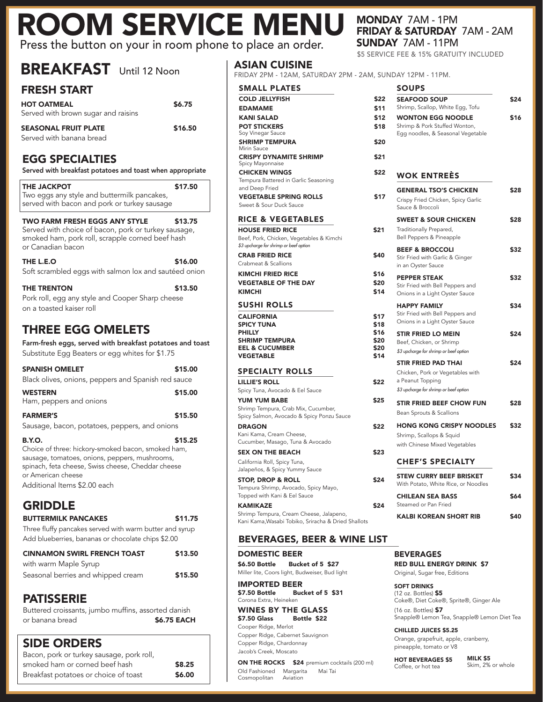# ROOM SERVICE MENU MONDAY 7AM - 1PM Press the button on your in room phone to place an order.

FRESH START HOT OATMEAL \$6.75 Served with brown sugar and raisins SEASONAL FRUIT PLATE \$16.50 Served with banana bread EGG SPECIALTIES Served with breakfast potatoes and toast when appropriate THE JACKPOT \$17.50 Two eggs any style and buttermilk pancakes, served with bacon and pork or turkey sausage TWO FARM FRESH EGGS ANY STYLE \$13.75 Served with choice of bacon, pork or turkey sausage, smoked ham, pork roll, scrapple corned beef hash or Canadian bacon THE L.E.O \$16.00 Soft scrambled eggs with salmon lox and sautéed onion THE TRENTON \$13.50 Pork roll, egg any style and Cooper Sharp cheese on a toasted kaiser roll THREE EGG OMELETS Farm-fresh eggs, served with breakfast potatoes and toast Substitute Egg Beaters or egg whites for \$1.75 SPANISH OMELET \$15.00 Black olives, onions, peppers and Spanish red sauce WESTERN \$15.00 Ham, peppers and onions **FARMER'S** \$15.50 Sausage, bacon, potatoes, peppers, and onions  $B.Y.O.$   $$15.25$ Choice of three: hickory-smoked bacon, smoked ham, sausage, tomatoes, onions, peppers, mushrooms, spinach, feta cheese, Swiss cheese, Cheddar cheese or American cheese Additional Items \$2.00 each GRIDDLE BUTTERMILK PANCAKES \$11.75

BREAKFAST Until 12 Noon

Three fluffy pancakes served with warm butter and syrup Add blueberries, bananas or chocolate chips \$2.00

| <b>CINNAMON SWIRL FRENCH TOAST</b> | \$13.50 |
|------------------------------------|---------|
| with warm Maple Syrup              |         |
| Seasonal berries and whipped cream | \$15.50 |

### PATISSERIE

Buttered croissants, jumbo muffins, assorted danish or banana bread **\$6.75 EACH** 

## SIDE ORDERS

| Bacon, pork or turkey sausage, pork roll, |        |
|-------------------------------------------|--------|
| smoked ham or corned beef hash            | \$8.25 |
| Breakfast potatoes or choice of toast     | \$6.00 |

### ASIAN CUISINE

| FRIDAY 2PM - 12AM, SATURDAY 2PM - 2AM, SUNDAY 12PM - 11PM.                                                                                       |                                              |                                                                                                                                                                                         |
|--------------------------------------------------------------------------------------------------------------------------------------------------|----------------------------------------------|-----------------------------------------------------------------------------------------------------------------------------------------------------------------------------------------|
| <b>SMALL PLATES</b>                                                                                                                              |                                              | SOUPS                                                                                                                                                                                   |
| <b>COLD JELLYFISH</b><br><b>EDAMAME</b><br><b>KANI SALAD</b><br><b>POT STICKERS</b><br>Soy Vinegar Sauce<br><b>SHRIMP TEMPURA</b>                | \$22<br>\$11<br>\$12<br>\$18<br>\$20         | <b>SEAFOOD SOUP</b><br>Shrimp, Scallop, Whit<br><b>WONTON EGG N</b><br>Shrimp & Pork Stuffed<br>Egg noodles, & Seaso                                                                    |
| Mirin Sauce<br><b>CRISPY DYNAMITE SHRIMP</b>                                                                                                     | \$21                                         |                                                                                                                                                                                         |
| Spicy Mayonnaise<br><b>CHICKEN WINGS</b><br>Tempura Battered in Garlic Seasoning                                                                 | \$22                                         | <b>WOK ENTREI</b>                                                                                                                                                                       |
| and Deep Fried<br><b>VEGETABLE SPRING ROLLS</b><br>Sweet & Sour Duck Sauce                                                                       | \$17                                         | <b>GENERAL TSO'S (</b><br>Crispy Fried Chicken,<br>Sauce & Broccoli                                                                                                                     |
| <b>RICE &amp; VEGETABLES</b>                                                                                                                     |                                              | <b>SWEET &amp; SOUR C</b>                                                                                                                                                               |
| <b>HOUSE FRIED RICE</b><br>Beef, Pork, Chicken, Vegetables & Kimchi                                                                              | \$21                                         | <b>Traditionally Preparec</b><br>Bell Peppers & Pineap                                                                                                                                  |
| \$3 upcharge for shrimp or beef option<br><b>CRAB FRIED RICE</b><br>Crabmeat & Scallions                                                         | \$40                                         | <b>BEEF &amp; BROCCOL</b><br>Stir Fried with Garlic &<br>in an Oyster Sauce                                                                                                             |
| <b>KIMCHI FRIED RICE</b><br><b>VEGETABLE OF THE DAY</b><br><b>KIMCHI</b>                                                                         | \$16<br>\$20<br>\$14                         | <b>PEPPER STEAK</b><br>Stir Fried with Bell Pe<br>Onions in a Light Oys                                                                                                                 |
| SUSHI ROLLS<br><b>CALIFORNIA</b><br><b>SPICY TUNA</b><br><b>PHILLY</b><br><b>SHRIMP TEMPURA</b><br><b>EEL &amp; CUCUMBER</b><br><b>VEGETABLE</b> | \$17<br>\$18<br>\$16<br>\$20<br>\$20<br>\$14 | <b>HAPPY FAMILY</b><br>Stir Fried with Bell Pe<br>Onions in a Light Oys<br><b>STIR FRIED LO MI</b><br>Beef, Chicken, or Shri<br>\$3 upcharge for shrimp or b<br><b>STIR FRIED PAD T</b> |
| <b>SPECIALTY ROLLS</b>                                                                                                                           |                                              | Chicken, Pork or Vege                                                                                                                                                                   |
| <b>LILLIE'S ROLL</b><br>Spicy Tuna, Avocado & Eel Sauce                                                                                          | \$22                                         | a Peanut Topping<br>\$3 upcharge for shrimp or b                                                                                                                                        |
| <b>YUM YUM BABE</b><br>Shrimp Tempura, Crab Mix, Cucumber,<br>Spicy Salmon, Avocado & Spicy Ponzu Sauce                                          | \$25                                         | <b>STIR FRIED BEEF</b><br>Bean Sprouts & Scalli                                                                                                                                         |
| <b>DRAGON</b><br>Kani Kama, Cream Cheese,<br>Cucumber, Masago, Tuna & Avocado                                                                    | \$22                                         | <b>HONG KONG CRI</b><br>Shrimp, Scallops & Sc<br>with Chinese Mixed V                                                                                                                   |
| CEV ON THE BEACH.                                                                                                                                | con                                          |                                                                                                                                                                                         |

SEX ON THE BEACH \$2 California Roll, Spicy Tuna,

Jalapeños, & Spicy Yummy Sauce STOP, DROP & ROLL \$2

Tempura Shrimp, Avocado, Spicy Mayo, Topped with Kani & Eel Sauce

KAMIKAZE \$2 Shrimp Tempura, Cream Cheese, Jalapeno, Kani Kama,Wasabi Tobiko, Sriracha & Dried Shallots

### BEVERAGES, BEER & WINE LIST

DOMESTIC BEER \$6.50 Bottle Bucket of 5 \$27 Miller lite, Coors light, Budweiser, Bud light

IMPORTED BEER \$7.50 Bottle Bucket of 5 \$31 Corona Extra, Heineken

WINES BY THE GLASS<br>\$7.50 Glass Bottle \$22 Bottle \$22 Cooper Ridge, Merlot Copper Ridge, Cabernet Sauvignon Copper Ridge, Chardonnay Jacob's Creek, Moscato

ON THE ROCKS \$24 premium cocktails (200 ml) Old Fashioned Margarita Mai Tai Cosmopolitan Aviation

# FRIDAY & SATURDAY 7AM - 2AM SUNDAY 7AM - 11PM

\$5 SERVICE FEE & 15% GRATUITY INCLUDED

| <b>SOUPS</b><br><b>SEAFOOD SOUP</b>                                   | \$24 |
|-----------------------------------------------------------------------|------|
| Shrimp, Scallop, White Egg, Tofu                                      |      |
| <b>WONTON EGG NOODLE</b>                                              |      |
| Shrimp & Pork Stuffed Wonton,<br>Egg noodles, & Seasonal Vegetable    |      |
|                                                                       |      |
|                                                                       |      |
|                                                                       |      |
| <b>WOK ENTREÈS</b>                                                    |      |
| <b>GENERAL TSO'S CHICKEN</b>                                          |      |
| Crispy Fried Chicken, Spicy Garlic<br>Sauce & Broccoli                |      |
| <b>SWEET &amp; SOUR CHICKEN</b>                                       |      |
| Traditionally Prepared,<br>Bell Peppers & Pineapple                   |      |
| <b>BEEF &amp; BROCCOLI</b>                                            |      |
| Stir Fried with Garlic & Ginger<br>in an Oyster Sauce                 |      |
| <b>PEPPER STEAK</b>                                                   |      |
| Stir Fried with Bell Peppers and<br>Onions in a Light Oyster Sauce    |      |
| <b>HAPPY FAMILY</b>                                                   |      |
| Stir Fried with Bell Peppers and<br>Onions in a Light Oyster Sauce    |      |
| <b>STIR FRIED LO MEIN</b>                                             |      |
| Beef, Chicken, or Shrimp                                              |      |
| \$3 upcharge for shrimp or beef option<br><b>STIR FRIED PAD THAI</b>  |      |
| Chicken, Pork or Vegetables with                                      |      |
| a Peanut Topping                                                      |      |
| \$3 upcharge for shrimp or beef option                                |      |
| <b>STIR FRIED BEEF CHOW FUN</b>                                       |      |
| Bean Sprouts & Scallions                                              |      |
| <b>HONG KONG CRISPY NOODLES</b>                                       |      |
| Shrimp, Scallops & Squid                                              |      |
| with Chinese Mixed Vegetables                                         |      |
| <b>CHEF'S SPECIALTY</b>                                               |      |
| <b>STEW CURRY BEEF BRISKET</b><br>With Potato, White Rice, or Noodles |      |
| <b>CHILEAN SEA BASS</b>                                               |      |
| Steamed or Pan Fried                                                  |      |
| <b>KALBI KOREAN SHORT RIB</b>                                         |      |

#### BEVERAGES RED BULL ENERGY DRINK \$7 Original, Sugar free, Editions

SOFT DRINKS (12 oz. Bottles) \$5 Coke®, Diet Coke®, Sprite®, Ginger Ale (16 oz. Bottles) \$7

Snapple® Lemon Tea, Snapple® Lemon Diet Tea

CHILLED JUICES \$5.25 Orange, grapefruit, apple, cranberry, pineapple, tomato or V8

HOT BEVERAGES \$5 Coffee, or hot tea

MILK \$5 Skim, 2% or whole